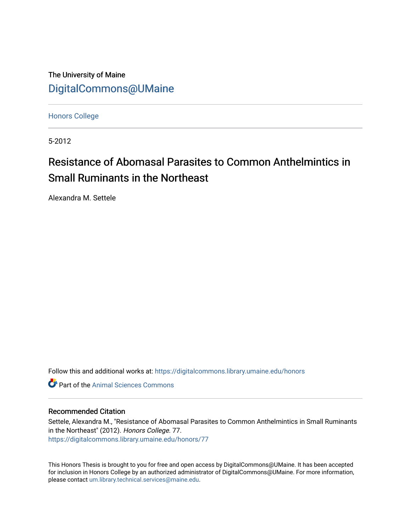The University of Maine [DigitalCommons@UMaine](https://digitalcommons.library.umaine.edu/)

[Honors College](https://digitalcommons.library.umaine.edu/honors)

5-2012

# Resistance of Abomasal Parasites to Common Anthelmintics in Small Ruminants in the Northeast

Alexandra M. Settele

Follow this and additional works at: [https://digitalcommons.library.umaine.edu/honors](https://digitalcommons.library.umaine.edu/honors?utm_source=digitalcommons.library.umaine.edu%2Fhonors%2F77&utm_medium=PDF&utm_campaign=PDFCoverPages) 

**C** Part of the Animal Sciences Commons

# Recommended Citation

Settele, Alexandra M., "Resistance of Abomasal Parasites to Common Anthelmintics in Small Ruminants in the Northeast" (2012). Honors College. 77. [https://digitalcommons.library.umaine.edu/honors/77](https://digitalcommons.library.umaine.edu/honors/77?utm_source=digitalcommons.library.umaine.edu%2Fhonors%2F77&utm_medium=PDF&utm_campaign=PDFCoverPages) 

This Honors Thesis is brought to you for free and open access by DigitalCommons@UMaine. It has been accepted for inclusion in Honors College by an authorized administrator of DigitalCommons@UMaine. For more information, please contact [um.library.technical.services@maine.edu.](mailto:um.library.technical.services@maine.edu)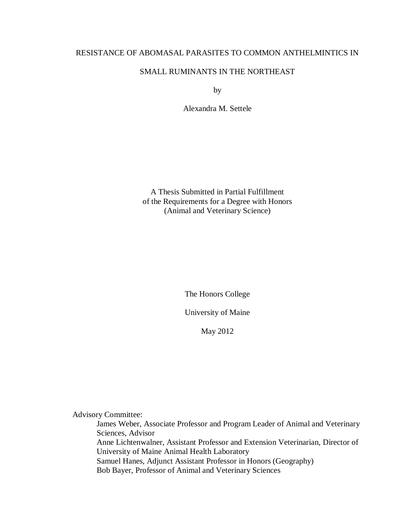# RESISTANCE OF ABOMASAL PARASITES TO COMMON ANTHELMINTICS IN

# SMALL RUMINANTS IN THE NORTHEAST

by

Alexandra M. Settele

A Thesis Submitted in Partial Fulfillment of the Requirements for a Degree with Honors (Animal and Veterinary Science)

The Honors College

University of Maine

May 2012

Advisory Committee:

James Weber, Associate Professor and Program Leader of Animal and Veterinary Sciences, Advisor Anne Lichtenwalner, Assistant Professor and Extension Veterinarian, Director of University of Maine Animal Health Laboratory Samuel Hanes, Adjunct Assistant Professor in Honors (Geography) Bob Bayer, Professor of Animal and Veterinary Sciences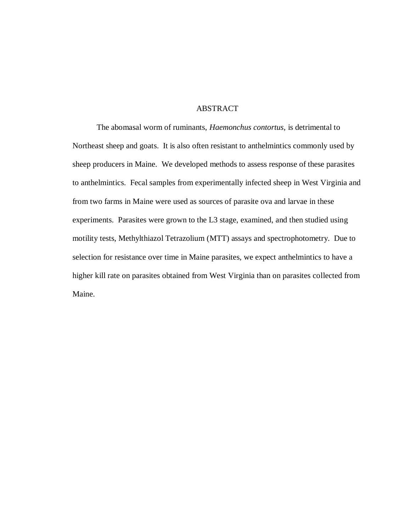## **ABSTRACT**

The abomasal worm of ruminants, *Haemonchus contortus,* is detrimental to Northeast sheep and goats. It is also often resistant to anthelmintics commonly used by sheep producers in Maine. We developed methods to assess response of these parasites to anthelmintics. Fecal samples from experimentally infected sheep in West Virginia and from two farms in Maine were used as sources of parasite ova and larvae in these experiments. Parasites were grown to the L3 stage, examined, and then studied using motility tests, Methylthiazol Tetrazolium (MTT) assays and spectrophotometry. Due to selection for resistance over time in Maine parasites, we expect anthelmintics to have a higher kill rate on parasites obtained from West Virginia than on parasites collected from Maine.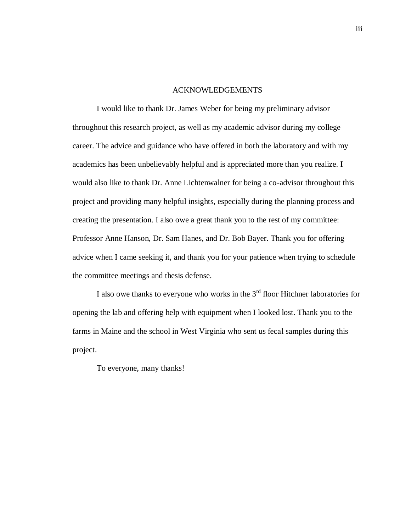#### ACKNOWLEDGEMENTS

I would like to thank Dr. James Weber for being my preliminary advisor throughout this research project, as well as my academic advisor during my college career. The advice and guidance who have offered in both the laboratory and with my academics has been unbelievably helpful and is appreciated more than you realize. I would also like to thank Dr. Anne Lichtenwalner for being a co-advisor throughout this project and providing many helpful insights, especially during the planning process and creating the presentation. I also owe a great thank you to the rest of my committee: Professor Anne Hanson, Dr. Sam Hanes, and Dr. Bob Bayer. Thank you for offering advice when I came seeking it, and thank you for your patience when trying to schedule the committee meetings and thesis defense.

I also owe thanks to everyone who works in the  $3<sup>rd</sup>$  floor Hitchner laboratories for opening the lab and offering help with equipment when I looked lost. Thank you to the farms in Maine and the school in West Virginia who sent us fecal samples during this project.

To everyone, many thanks!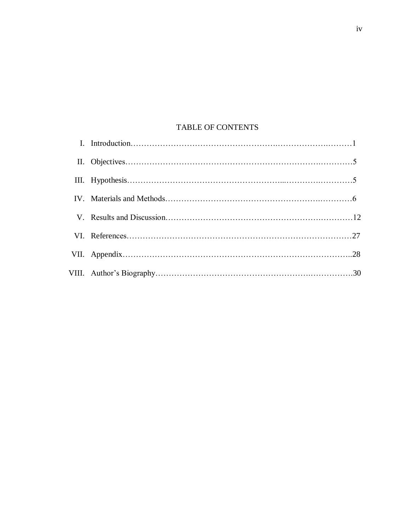# TABLE OF CONTENTS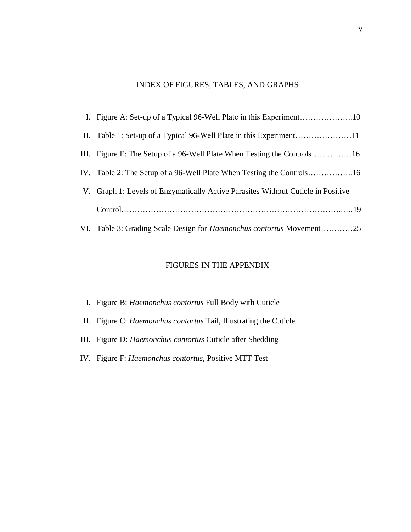# INDEX OF FIGURES, TABLES, AND GRAPHS

| V. Graph 1: Levels of Enzymatically Active Parasites Without Cuticle in Positive |
|----------------------------------------------------------------------------------|
|                                                                                  |
| VI. Table 3: Grading Scale Design for <i>Haemonchus contortus</i> Movement25     |

# FIGURES IN THE APPENDIX

- I. Figure B: *Haemonchus contortus* Full Body with Cuticle
- II. Figure C: *Haemonchus contortus* Tail, Illustrating the Cuticle
- III. Figure D: *Haemonchus contortus* Cuticle after Shedding
- IV. Figure F: *Haemonchus contortus*, Positive MTT Test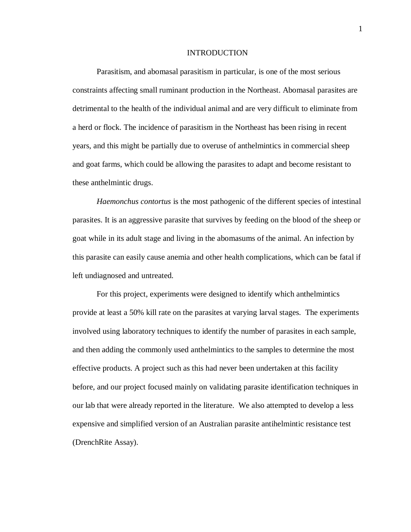#### INTRODUCTION

Parasitism, and abomasal parasitism in particular, is one of the most serious constraints affecting small ruminant production in the Northeast. Abomasal parasites are detrimental to the health of the individual animal and are very difficult to eliminate from a herd or flock. The incidence of parasitism in the Northeast has been rising in recent years, and this might be partially due to overuse of anthelmintics in commercial sheep and goat farms, which could be allowing the parasites to adapt and become resistant to these anthelmintic drugs.

*Haemonchus contortus* is the most pathogenic of the different species of intestinal parasites. It is an aggressive parasite that survives by feeding on the blood of the sheep or goat while in its adult stage and living in the abomasums of the animal. An infection by this parasite can easily cause anemia and other health complications, which can be fatal if left undiagnosed and untreated.

For this project, experiments were designed to identify which anthelmintics provide at least a 50% kill rate on the parasites at varying larval stages. The experiments involved using laboratory techniques to identify the number of parasites in each sample, and then adding the commonly used anthelmintics to the samples to determine the most effective products. A project such as this had never been undertaken at this facility before, and our project focused mainly on validating parasite identification techniques in our lab that were already reported in the literature. We also attempted to develop a less expensive and simplified version of an Australian parasite antihelmintic resistance test (DrenchRite Assay).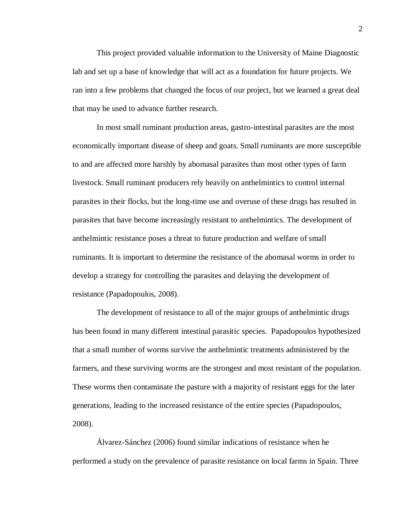This project provided valuable information to the University of Maine Diagnostic lab and set up a base of knowledge that will act as a foundation for future projects. We ran into a few problems that changed the focus of our project, but we learned a great deal that may be used to advance further research.

In most small ruminant production areas, gastro-intestinal parasites are the most economically important disease of sheep and goats. Small ruminants are more susceptible to and are affected more harshly by abomasal parasites than most other types of farm livestock. Small ruminant producers rely heavily on anthelmintics to control internal parasites in their flocks, but the long-time use and overuse of these drugs has resulted in parasites that have become increasingly resistant to anthelmintics. The development of anthelmintic resistance poses a threat to future production and welfare of small ruminants. It is important to determine the resistance of the abomasal worms in order to develop a strategy for controlling the parasites and delaying the development of resistance (Papadopoulos, 2008).

The development of resistance to all of the major groups of anthelmintic drugs has been found in many different intestinal parasitic species. Papadopoulos hypothesized that a small number of worms survive the anthelmintic treatments administered by the farmers, and these surviving worms are the strongest and most resistant of the population. These worms then contaminate the pasture with a majority of resistant eggs for the later generations, leading to the increased resistance of the entire species (Papadopoulos, 2008).

Álvarez-Sánchez (2006) found similar indications of resistance when he performed a study on the prevalence of parasite resistance on local farms in Spain. Three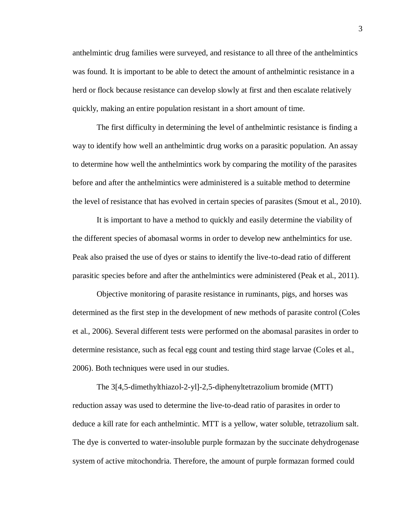anthelmintic drug families were surveyed, and resistance to all three of the anthelmintics was found. It is important to be able to detect the amount of anthelmintic resistance in a herd or flock because resistance can develop slowly at first and then escalate relatively quickly, making an entire population resistant in a short amount of time.

The first difficulty in determining the level of anthelmintic resistance is finding a way to identify how well an anthelmintic drug works on a parasitic population. An assay to determine how well the anthelmintics work by comparing the motility of the parasites before and after the anthelmintics were administered is a suitable method to determine the level of resistance that has evolved in certain species of parasites (Smout et al., 2010).

It is important to have a method to quickly and easily determine the viability of the different species of abomasal worms in order to develop new anthelmintics for use. Peak also praised the use of dyes or stains to identify the live-to-dead ratio of different parasitic species before and after the anthelmintics were administered (Peak et al., 2011).

Objective monitoring of parasite resistance in ruminants, pigs, and horses was determined as the first step in the development of new methods of parasite control (Coles et al., 2006). Several different tests were performed on the abomasal parasites in order to determine resistance, such as fecal egg count and testing third stage larvae (Coles et al., 2006). Both techniques were used in our studies.

The 3[4,5-dimethylthiazol-2-yl]-2,5-diphenyltetrazolium bromide (MTT) reduction assay was used to determine the live-to-dead ratio of parasites in order to deduce a kill rate for each anthelmintic. MTT is a yellow, water soluble, tetrazolium salt. The dye is converted to water-insoluble purple formazan by the succinate dehydrogenase system of active mitochondria. Therefore, the amount of purple formazan formed could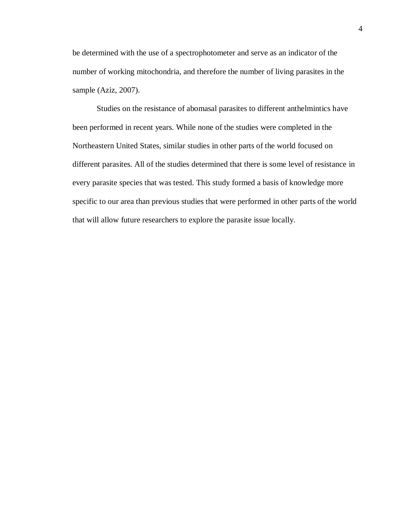be determined with the use of a spectrophotometer and serve as an indicator of the number of working mitochondria, and therefore the number of living parasites in the sample (Aziz, 2007).

Studies on the resistance of abomasal parasites to different anthelmintics have been performed in recent years. While none of the studies were completed in the Northeastern United States, similar studies in other parts of the world focused on different parasites. All of the studies determined that there is some level of resistance in every parasite species that was tested. This study formed a basis of knowledge more specific to our area than previous studies that were performed in other parts of the world that will allow future researchers to explore the parasite issue locally.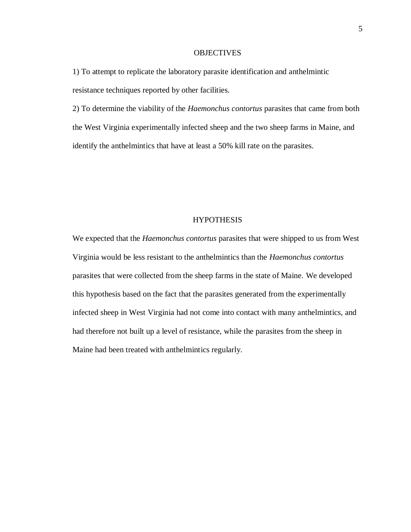### **OBJECTIVES**

1) To attempt to replicate the laboratory parasite identification and anthelmintic resistance techniques reported by other facilities.

2) To determine the viability of the *Haemonchus contortus* parasites that came from both the West Virginia experimentally infected sheep and the two sheep farms in Maine, and identify the anthelmintics that have at least a 50% kill rate on the parasites.

## **HYPOTHESIS**

We expected that the *Haemonchus contortus* parasites that were shipped to us from West Virginia would be less resistant to the anthelmintics than the *Haemonchus contortus* parasites that were collected from the sheep farms in the state of Maine. We developed this hypothesis based on the fact that the parasites generated from the experimentally infected sheep in West Virginia had not come into contact with many anthelmintics, and had therefore not built up a level of resistance, while the parasites from the sheep in Maine had been treated with anthelmintics regularly.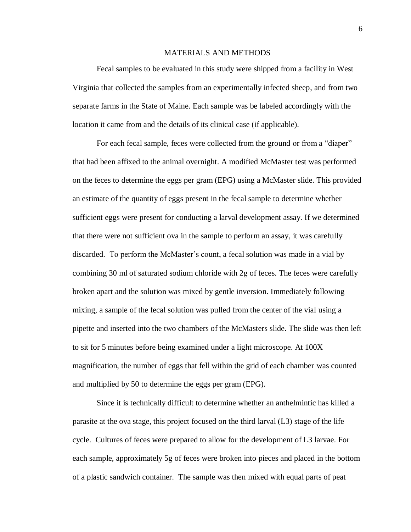## MATERIALS AND METHODS

Fecal samples to be evaluated in this study were shipped from a facility in West Virginia that collected the samples from an experimentally infected sheep, and from two separate farms in the State of Maine. Each sample was be labeled accordingly with the location it came from and the details of its clinical case (if applicable).

For each fecal sample, feces were collected from the ground or from a "diaper" that had been affixed to the animal overnight. A modified McMaster test was performed on the feces to determine the eggs per gram (EPG) using a McMaster slide. This provided an estimate of the quantity of eggs present in the fecal sample to determine whether sufficient eggs were present for conducting a larval development assay. If we determined that there were not sufficient ova in the sample to perform an assay, it was carefully discarded. To perform the McMaster's count, a fecal solution was made in a vial by combining 30 ml of saturated sodium chloride with 2g of feces. The feces were carefully broken apart and the solution was mixed by gentle inversion. Immediately following mixing, a sample of the fecal solution was pulled from the center of the vial using a pipette and inserted into the two chambers of the McMasters slide. The slide was then left to sit for 5 minutes before being examined under a light microscope. At 100X magnification, the number of eggs that fell within the grid of each chamber was counted and multiplied by 50 to determine the eggs per gram (EPG).

Since it is technically difficult to determine whether an anthelmintic has killed a parasite at the ova stage, this project focused on the third larval (L3) stage of the life cycle. Cultures of feces were prepared to allow for the development of L3 larvae. For each sample, approximately 5g of feces were broken into pieces and placed in the bottom of a plastic sandwich container. The sample was then mixed with equal parts of peat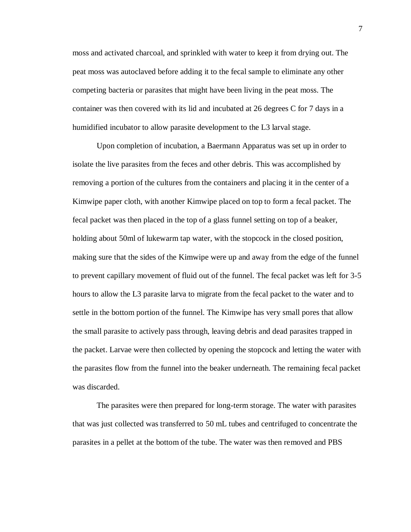moss and activated charcoal, and sprinkled with water to keep it from drying out. The peat moss was autoclaved before adding it to the fecal sample to eliminate any other competing bacteria or parasites that might have been living in the peat moss. The container was then covered with its lid and incubated at 26 degrees C for 7 days in a humidified incubator to allow parasite development to the L3 larval stage.

Upon completion of incubation, a Baermann Apparatus was set up in order to isolate the live parasites from the feces and other debris. This was accomplished by removing a portion of the cultures from the containers and placing it in the center of a Kimwipe paper cloth, with another Kimwipe placed on top to form a fecal packet. The fecal packet was then placed in the top of a glass funnel setting on top of a beaker, holding about 50ml of lukewarm tap water, with the stopcock in the closed position, making sure that the sides of the Kimwipe were up and away from the edge of the funnel to prevent capillary movement of fluid out of the funnel. The fecal packet was left for 3-5 hours to allow the L3 parasite larva to migrate from the fecal packet to the water and to settle in the bottom portion of the funnel. The Kimwipe has very small pores that allow the small parasite to actively pass through, leaving debris and dead parasites trapped in the packet. Larvae were then collected by opening the stopcock and letting the water with the parasites flow from the funnel into the beaker underneath. The remaining fecal packet was discarded.

The parasites were then prepared for long-term storage. The water with parasites that was just collected was transferred to 50 mL tubes and centrifuged to concentrate the parasites in a pellet at the bottom of the tube. The water was then removed and PBS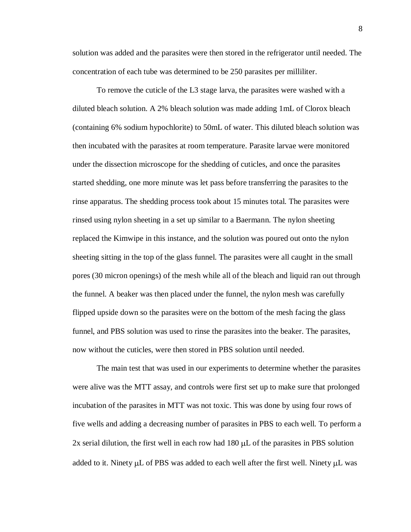solution was added and the parasites were then stored in the refrigerator until needed. The concentration of each tube was determined to be 250 parasites per milliliter.

To remove the cuticle of the L3 stage larva, the parasites were washed with a diluted bleach solution. A 2% bleach solution was made adding 1mL of Clorox bleach (containing 6% sodium hypochlorite) to 50mL of water. This diluted bleach solution was then incubated with the parasites at room temperature. Parasite larvae were monitored under the dissection microscope for the shedding of cuticles, and once the parasites started shedding, one more minute was let pass before transferring the parasites to the rinse apparatus. The shedding process took about 15 minutes total. The parasites were rinsed using nylon sheeting in a set up similar to a Baermann. The nylon sheeting replaced the Kimwipe in this instance, and the solution was poured out onto the nylon sheeting sitting in the top of the glass funnel. The parasites were all caught in the small pores (30 micron openings) of the mesh while all of the bleach and liquid ran out through the funnel. A beaker was then placed under the funnel, the nylon mesh was carefully flipped upside down so the parasites were on the bottom of the mesh facing the glass funnel, and PBS solution was used to rinse the parasites into the beaker. The parasites, now without the cuticles, were then stored in PBS solution until needed.

The main test that was used in our experiments to determine whether the parasites were alive was the MTT assay, and controls were first set up to make sure that prolonged incubation of the parasites in MTT was not toxic. This was done by using four rows of five wells and adding a decreasing number of parasites in PBS to each well. To perform a  $2x$  serial dilution, the first well in each row had  $180 \mu L$  of the parasites in PBS solution added to it. Ninety  $\mu$ L of PBS was added to each well after the first well. Ninety  $\mu$ L was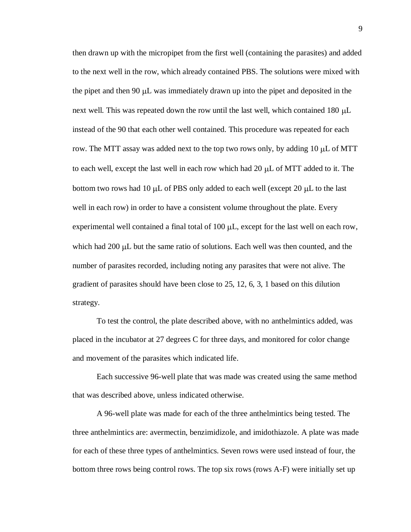then drawn up with the micropipet from the first well (containing the parasites) and added to the next well in the row, which already contained PBS. The solutions were mixed with the pipet and then 90  $\mu$ L was immediately drawn up into the pipet and deposited in the next well. This was repeated down the row until the last well, which contained  $180 \mu L$ instead of the 90 that each other well contained. This procedure was repeated for each row. The MTT assay was added next to the top two rows only, by adding  $10 \mu L$  of MTT to each well, except the last well in each row which had  $20 \mu L$  of MTT added to it. The bottom two rows had 10  $\mu$ L of PBS only added to each well (except 20  $\mu$ L to the last well in each row) in order to have a consistent volume throughout the plate. Every experimental well contained a final total of 100  $\mu$ L, except for the last well on each row, which had  $200 \mu L$  but the same ratio of solutions. Each well was then counted, and the number of parasites recorded, including noting any parasites that were not alive. The gradient of parasites should have been close to 25, 12, 6, 3, 1 based on this dilution strategy.

To test the control, the plate described above, with no anthelmintics added, was placed in the incubator at 27 degrees C for three days, and monitored for color change and movement of the parasites which indicated life.

Each successive 96-well plate that was made was created using the same method that was described above, unless indicated otherwise.

A 96-well plate was made for each of the three anthelmintics being tested. The three anthelmintics are: avermectin, benzimidizole, and imidothiazole. A plate was made for each of these three types of anthelmintics. Seven rows were used instead of four, the bottom three rows being control rows. The top six rows (rows A-F) were initially set up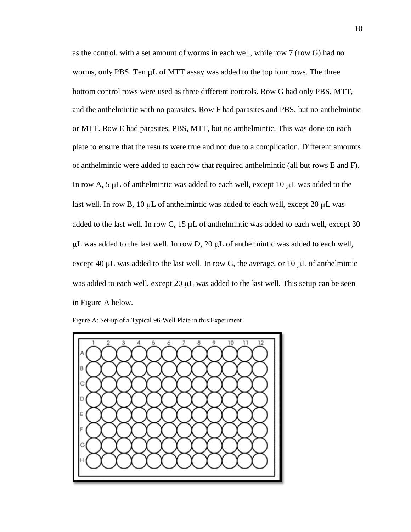as the control, with a set amount of worms in each well, while row 7 (row G) had no worms, only PBS. Ten  $\mu$ L of MTT assay was added to the top four rows. The three bottom control rows were used as three different controls. Row G had only PBS, MTT, and the anthelmintic with no parasites. Row F had parasites and PBS, but no anthelmintic or MTT. Row E had parasites, PBS, MTT, but no anthelmintic. This was done on each plate to ensure that the results were true and not due to a complication. Different amounts of anthelmintic were added to each row that required anthelmintic (all but rows E and F). In row A, 5  $\mu$ L of anthelmintic was added to each well, except 10  $\mu$ L was added to the last well. In row B,  $10 \mu L$  of anthelmintic was added to each well, except  $20 \mu L$  was added to the last well. In row C,  $15 \mu L$  of anthelmintic was added to each well, except 30  $\mu$ L was added to the last well. In row D, 20  $\mu$ L of anthelmintic was added to each well, except 40  $\mu$ L was added to the last well. In row G, the average, or 10  $\mu$ L of anthelmintic was added to each well, except  $20 \mu L$  was added to the last well. This setup can be seen in Figure A below.

Figure A: Set-up of a Typical 96-Well Plate in this Experiment

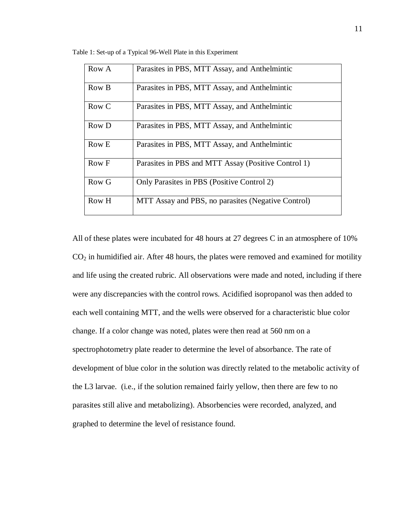Table 1: Set-up of a Typical 96-Well Plate in this Experiment

| Row A | Parasites in PBS, MTT Assay, and Anthelmintic       |
|-------|-----------------------------------------------------|
| Row B | Parasites in PBS, MTT Assay, and Anthelmintic       |
| Row C | Parasites in PBS, MTT Assay, and Anthelmintic       |
| Row D | Parasites in PBS, MTT Assay, and Anthelmintic       |
| Row E | Parasites in PBS, MTT Assay, and Anthelmintic       |
| Row F | Parasites in PBS and MTT Assay (Positive Control 1) |
| Row G | Only Parasites in PBS (Positive Control 2)          |
| Row H | MTT Assay and PBS, no parasites (Negative Control)  |

All of these plates were incubated for 48 hours at 27 degrees C in an atmosphere of 10%  $CO<sub>2</sub>$  in humidified air. After 48 hours, the plates were removed and examined for motility and life using the created rubric. All observations were made and noted, including if there were any discrepancies with the control rows. Acidified isopropanol was then added to each well containing MTT, and the wells were observed for a characteristic blue color change. If a color change was noted, plates were then read at 560 nm on a spectrophotometry plate reader to determine the level of absorbance. The rate of development of blue color in the solution was directly related to the metabolic activity of the L3 larvae. (i.e., if the solution remained fairly yellow, then there are few to no parasites still alive and metabolizing). Absorbencies were recorded, analyzed, and graphed to determine the level of resistance found.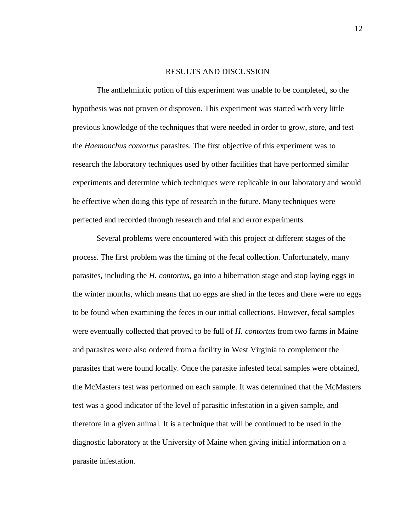#### RESULTS AND DISCUSSION

The anthelmintic potion of this experiment was unable to be completed, so the hypothesis was not proven or disproven. This experiment was started with very little previous knowledge of the techniques that were needed in order to grow, store, and test the *Haemonchus contortus* parasites. The first objective of this experiment was to research the laboratory techniques used by other facilities that have performed similar experiments and determine which techniques were replicable in our laboratory and would be effective when doing this type of research in the future. Many techniques were perfected and recorded through research and trial and error experiments.

Several problems were encountered with this project at different stages of the process. The first problem was the timing of the fecal collection. Unfortunately, many parasites, including the *H. contortus*, go into a hibernation stage and stop laying eggs in the winter months, which means that no eggs are shed in the feces and there were no eggs to be found when examining the feces in our initial collections. However, fecal samples were eventually collected that proved to be full of *H. contortus* from two farms in Maine and parasites were also ordered from a facility in West Virginia to complement the parasites that were found locally. Once the parasite infested fecal samples were obtained, the McMasters test was performed on each sample. It was determined that the McMasters test was a good indicator of the level of parasitic infestation in a given sample, and therefore in a given animal. It is a technique that will be continued to be used in the diagnostic laboratory at the University of Maine when giving initial information on a parasite infestation.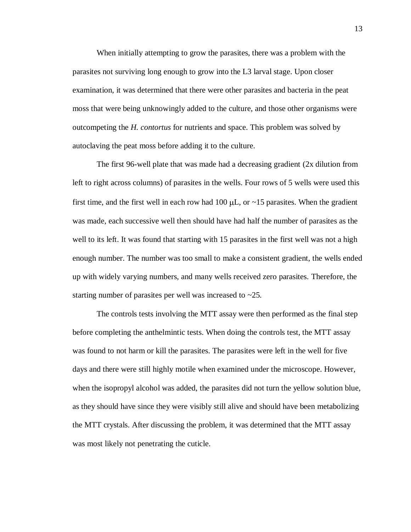When initially attempting to grow the parasites, there was a problem with the parasites not surviving long enough to grow into the L3 larval stage. Upon closer examination, it was determined that there were other parasites and bacteria in the peat moss that were being unknowingly added to the culture, and those other organisms were outcompeting the *H. contortus* for nutrients and space. This problem was solved by autoclaving the peat moss before adding it to the culture.

The first 96-well plate that was made had a decreasing gradient (2x dilution from left to right across columns) of parasites in the wells. Four rows of 5 wells were used this first time, and the first well in each row had 100  $\mu$ L, or  $\sim$ 15 parasites. When the gradient was made, each successive well then should have had half the number of parasites as the well to its left. It was found that starting with 15 parasites in the first well was not a high enough number. The number was too small to make a consistent gradient, the wells ended up with widely varying numbers, and many wells received zero parasites. Therefore, the starting number of parasites per well was increased to ~25.

The controls tests involving the MTT assay were then performed as the final step before completing the anthelmintic tests. When doing the controls test, the MTT assay was found to not harm or kill the parasites. The parasites were left in the well for five days and there were still highly motile when examined under the microscope. However, when the isopropyl alcohol was added, the parasites did not turn the yellow solution blue, as they should have since they were visibly still alive and should have been metabolizing the MTT crystals. After discussing the problem, it was determined that the MTT assay was most likely not penetrating the cuticle.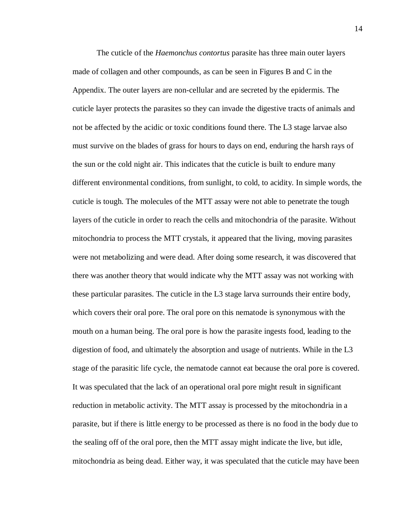The cuticle of the *Haemonchus contortus* parasite has three main outer layers made of collagen and other compounds, as can be seen in Figures B and C in the Appendix. The outer layers are non-cellular and are secreted by the epidermis. The cuticle layer protects the parasites so they can invade the digestive tracts of animals and not be affected by the acidic or toxic conditions found there. The L3 stage larvae also must survive on the blades of grass for hours to days on end, enduring the harsh rays of the sun or the cold night air. This indicates that the cuticle is built to endure many different environmental conditions, from sunlight, to cold, to acidity. In simple words, the cuticle is tough. The molecules of the MTT assay were not able to penetrate the tough layers of the cuticle in order to reach the cells and mitochondria of the parasite. Without mitochondria to process the MTT crystals, it appeared that the living, moving parasites were not metabolizing and were dead. After doing some research, it was discovered that there was another theory that would indicate why the MTT assay was not working with these particular parasites. The cuticle in the L3 stage larva surrounds their entire body, which covers their oral pore. The oral pore on this nematode is synonymous with the mouth on a human being. The oral pore is how the parasite ingests food, leading to the digestion of food, and ultimately the absorption and usage of nutrients. While in the L3 stage of the parasitic life cycle, the nematode cannot eat because the oral pore is covered. It was speculated that the lack of an operational oral pore might result in significant reduction in metabolic activity. The MTT assay is processed by the mitochondria in a parasite, but if there is little energy to be processed as there is no food in the body due to the sealing off of the oral pore, then the MTT assay might indicate the live, but idle, mitochondria as being dead. Either way, it was speculated that the cuticle may have been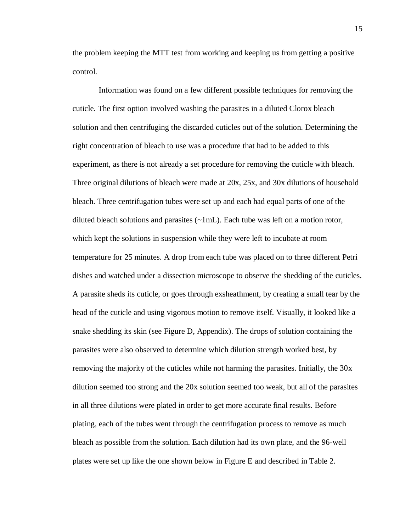the problem keeping the MTT test from working and keeping us from getting a positive control.

Information was found on a few different possible techniques for removing the cuticle. The first option involved washing the parasites in a diluted Clorox bleach solution and then centrifuging the discarded cuticles out of the solution. Determining the right concentration of bleach to use was a procedure that had to be added to this experiment, as there is not already a set procedure for removing the cuticle with bleach. Three original dilutions of bleach were made at 20x, 25x, and 30x dilutions of household bleach. Three centrifugation tubes were set up and each had equal parts of one of the diluted bleach solutions and parasites  $(\sim 1 \text{ mL})$ . Each tube was left on a motion rotor, which kept the solutions in suspension while they were left to incubate at room temperature for 25 minutes. A drop from each tube was placed on to three different Petri dishes and watched under a dissection microscope to observe the shedding of the cuticles. A parasite sheds its cuticle, or goes through exsheathment, by creating a small tear by the head of the cuticle and using vigorous motion to remove itself. Visually, it looked like a snake shedding its skin (see Figure D, Appendix). The drops of solution containing the parasites were also observed to determine which dilution strength worked best, by removing the majority of the cuticles while not harming the parasites. Initially, the 30x dilution seemed too strong and the 20x solution seemed too weak, but all of the parasites in all three dilutions were plated in order to get more accurate final results. Before plating, each of the tubes went through the centrifugation process to remove as much bleach as possible from the solution. Each dilution had its own plate, and the 96-well plates were set up like the one shown below in Figure E and described in Table 2.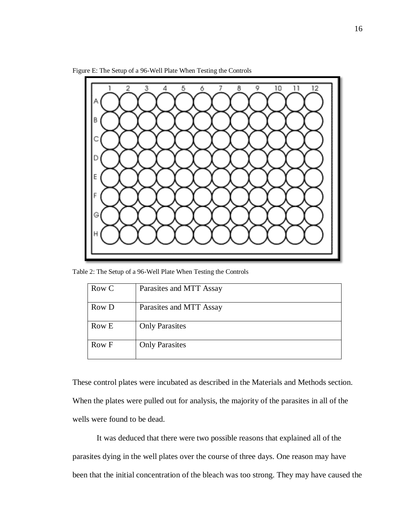



Table 2: The Setup of a 96-Well Plate When Testing the Controls

| Row C | Parasites and MTT Assay |
|-------|-------------------------|
| Row D | Parasites and MTT Assay |
| Row E | <b>Only Parasites</b>   |
| Row F | <b>Only Parasites</b>   |

These control plates were incubated as described in the Materials and Methods section. When the plates were pulled out for analysis, the majority of the parasites in all of the wells were found to be dead.

It was deduced that there were two possible reasons that explained all of the parasites dying in the well plates over the course of three days. One reason may have been that the initial concentration of the bleach was too strong. They may have caused the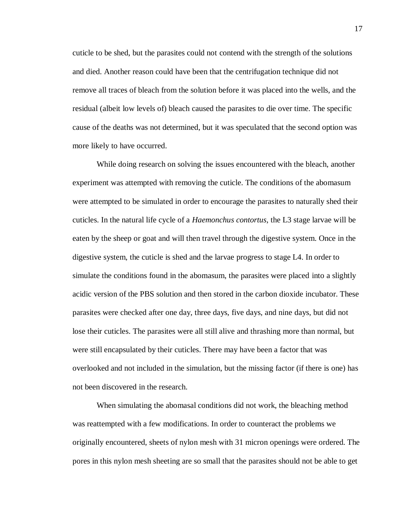cuticle to be shed, but the parasites could not contend with the strength of the solutions and died. Another reason could have been that the centrifugation technique did not remove all traces of bleach from the solution before it was placed into the wells, and the residual (albeit low levels of) bleach caused the parasites to die over time. The specific cause of the deaths was not determined, but it was speculated that the second option was more likely to have occurred.

While doing research on solving the issues encountered with the bleach, another experiment was attempted with removing the cuticle. The conditions of the abomasum were attempted to be simulated in order to encourage the parasites to naturally shed their cuticles. In the natural life cycle of a *Haemonchus contortus*, the L3 stage larvae will be eaten by the sheep or goat and will then travel through the digestive system. Once in the digestive system, the cuticle is shed and the larvae progress to stage L4. In order to simulate the conditions found in the abomasum, the parasites were placed into a slightly acidic version of the PBS solution and then stored in the carbon dioxide incubator. These parasites were checked after one day, three days, five days, and nine days, but did not lose their cuticles. The parasites were all still alive and thrashing more than normal, but were still encapsulated by their cuticles. There may have been a factor that was overlooked and not included in the simulation, but the missing factor (if there is one) has not been discovered in the research.

When simulating the abomasal conditions did not work, the bleaching method was reattempted with a few modifications. In order to counteract the problems we originally encountered, sheets of nylon mesh with 31 micron openings were ordered. The pores in this nylon mesh sheeting are so small that the parasites should not be able to get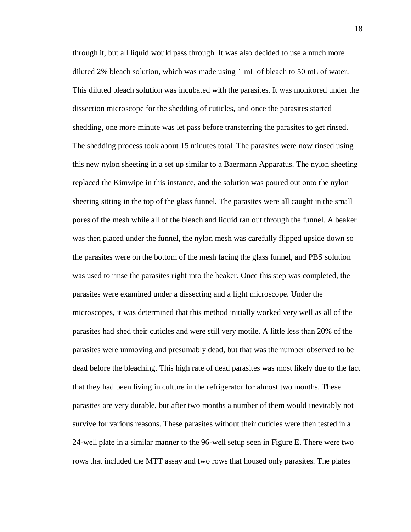through it, but all liquid would pass through. It was also decided to use a much more diluted 2% bleach solution, which was made using 1 mL of bleach to 50 mL of water. This diluted bleach solution was incubated with the parasites. It was monitored under the dissection microscope for the shedding of cuticles, and once the parasites started shedding, one more minute was let pass before transferring the parasites to get rinsed. The shedding process took about 15 minutes total. The parasites were now rinsed using this new nylon sheeting in a set up similar to a Baermann Apparatus. The nylon sheeting replaced the Kimwipe in this instance, and the solution was poured out onto the nylon sheeting sitting in the top of the glass funnel. The parasites were all caught in the small pores of the mesh while all of the bleach and liquid ran out through the funnel. A beaker was then placed under the funnel, the nylon mesh was carefully flipped upside down so the parasites were on the bottom of the mesh facing the glass funnel, and PBS solution was used to rinse the parasites right into the beaker. Once this step was completed, the parasites were examined under a dissecting and a light microscope. Under the microscopes, it was determined that this method initially worked very well as all of the parasites had shed their cuticles and were still very motile. A little less than 20% of the parasites were unmoving and presumably dead, but that was the number observed to be dead before the bleaching. This high rate of dead parasites was most likely due to the fact that they had been living in culture in the refrigerator for almost two months. These parasites are very durable, but after two months a number of them would inevitably not survive for various reasons. These parasites without their cuticles were then tested in a 24-well plate in a similar manner to the 96-well setup seen in Figure E. There were two rows that included the MTT assay and two rows that housed only parasites. The plates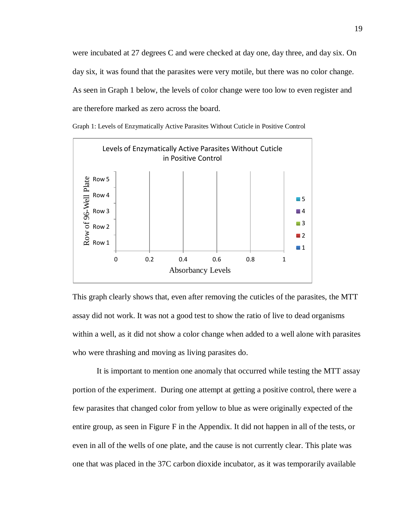were incubated at 27 degrees C and were checked at day one, day three, and day six. On day six, it was found that the parasites were very motile, but there was no color change. As seen in Graph 1 below, the levels of color change were too low to even register and are therefore marked as zero across the board.



Graph 1: Levels of Enzymatically Active Parasites Without Cuticle in Positive Control

This graph clearly shows that, even after removing the cuticles of the parasites, the MTT assay did not work. It was not a good test to show the ratio of live to dead organisms within a well, as it did not show a color change when added to a well alone with parasites who were thrashing and moving as living parasites do.

It is important to mention one anomaly that occurred while testing the MTT assay portion of the experiment. During one attempt at getting a positive control, there were a few parasites that changed color from yellow to blue as were originally expected of the entire group, as seen in Figure F in the Appendix. It did not happen in all of the tests, or even in all of the wells of one plate, and the cause is not currently clear. This plate was one that was placed in the 37C carbon dioxide incubator, as it was temporarily available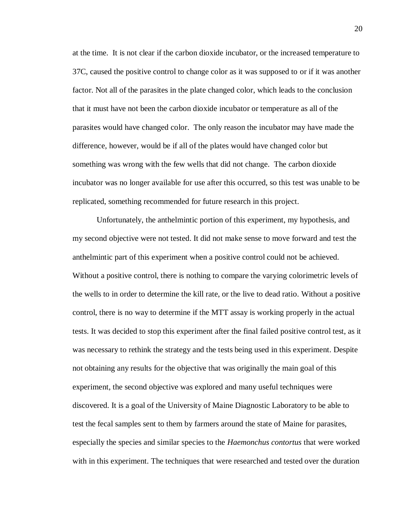at the time. It is not clear if the carbon dioxide incubator, or the increased temperature to 37C, caused the positive control to change color as it was supposed to or if it was another factor. Not all of the parasites in the plate changed color, which leads to the conclusion that it must have not been the carbon dioxide incubator or temperature as all of the parasites would have changed color. The only reason the incubator may have made the difference, however, would be if all of the plates would have changed color but something was wrong with the few wells that did not change. The carbon dioxide incubator was no longer available for use after this occurred, so this test was unable to be replicated, something recommended for future research in this project.

Unfortunately, the anthelmintic portion of this experiment, my hypothesis, and my second objective were not tested. It did not make sense to move forward and test the anthelmintic part of this experiment when a positive control could not be achieved. Without a positive control, there is nothing to compare the varying colorimetric levels of the wells to in order to determine the kill rate, or the live to dead ratio. Without a positive control, there is no way to determine if the MTT assay is working properly in the actual tests. It was decided to stop this experiment after the final failed positive control test, as it was necessary to rethink the strategy and the tests being used in this experiment. Despite not obtaining any results for the objective that was originally the main goal of this experiment, the second objective was explored and many useful techniques were discovered. It is a goal of the University of Maine Diagnostic Laboratory to be able to test the fecal samples sent to them by farmers around the state of Maine for parasites, especially the species and similar species to the *Haemonchus contortus* that were worked with in this experiment. The techniques that were researched and tested over the duration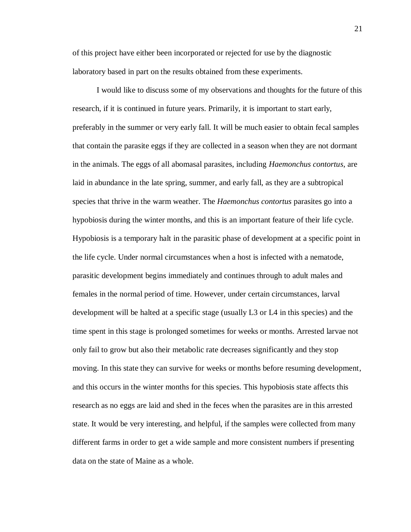of this project have either been incorporated or rejected for use by the diagnostic laboratory based in part on the results obtained from these experiments.

I would like to discuss some of my observations and thoughts for the future of this research, if it is continued in future years. Primarily, it is important to start early, preferably in the summer or very early fall. It will be much easier to obtain fecal samples that contain the parasite eggs if they are collected in a season when they are not dormant in the animals. The eggs of all abomasal parasites, including *Haemonchus contortus*, are laid in abundance in the late spring, summer, and early fall, as they are a subtropical species that thrive in the warm weather. The *Haemonchus contortus* parasites go into a hypobiosis during the winter months, and this is an important feature of their life cycle. Hypobiosis is a temporary halt in the parasitic phase of development at a specific point in the life cycle. Under normal circumstances when a host is infected with a nematode, parasitic development begins immediately and continues through to adult males and females in the normal period of time. However, under certain circumstances, larval development will be halted at a specific stage (usually L3 or L4 in this species) and the time spent in this stage is prolonged sometimes for weeks or months. Arrested larvae not only fail to grow but also their metabolic rate decreases significantly and they stop moving. In this state they can survive for weeks or months before resuming development, and this occurs in the winter months for this species. This hypobiosis state affects this research as no eggs are laid and shed in the feces when the parasites are in this arrested state. It would be very interesting, and helpful, if the samples were collected from many different farms in order to get a wide sample and more consistent numbers if presenting data on the state of Maine as a whole.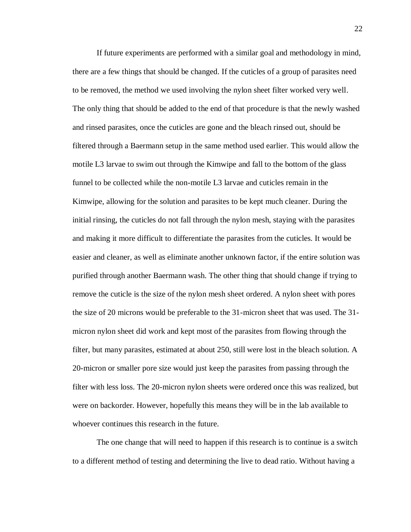If future experiments are performed with a similar goal and methodology in mind, there are a few things that should be changed. If the cuticles of a group of parasites need to be removed, the method we used involving the nylon sheet filter worked very well. The only thing that should be added to the end of that procedure is that the newly washed and rinsed parasites, once the cuticles are gone and the bleach rinsed out, should be filtered through a Baermann setup in the same method used earlier. This would allow the motile L3 larvae to swim out through the Kimwipe and fall to the bottom of the glass funnel to be collected while the non-motile L3 larvae and cuticles remain in the Kimwipe, allowing for the solution and parasites to be kept much cleaner. During the initial rinsing, the cuticles do not fall through the nylon mesh, staying with the parasites and making it more difficult to differentiate the parasites from the cuticles. It would be easier and cleaner, as well as eliminate another unknown factor, if the entire solution was purified through another Baermann wash. The other thing that should change if trying to remove the cuticle is the size of the nylon mesh sheet ordered. A nylon sheet with pores the size of 20 microns would be preferable to the 31-micron sheet that was used. The 31 micron nylon sheet did work and kept most of the parasites from flowing through the filter, but many parasites, estimated at about 250, still were lost in the bleach solution. A 20-micron or smaller pore size would just keep the parasites from passing through the filter with less loss. The 20-micron nylon sheets were ordered once this was realized, but were on backorder. However, hopefully this means they will be in the lab available to whoever continues this research in the future.

The one change that will need to happen if this research is to continue is a switch to a different method of testing and determining the live to dead ratio. Without having a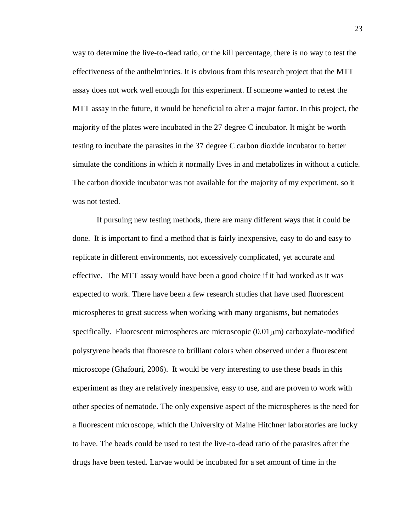way to determine the live-to-dead ratio, or the kill percentage, there is no way to test the effectiveness of the anthelmintics. It is obvious from this research project that the MTT assay does not work well enough for this experiment. If someone wanted to retest the MTT assay in the future, it would be beneficial to alter a major factor. In this project, the majority of the plates were incubated in the 27 degree C incubator. It might be worth testing to incubate the parasites in the 37 degree C carbon dioxide incubator to better simulate the conditions in which it normally lives in and metabolizes in without a cuticle. The carbon dioxide incubator was not available for the majority of my experiment, so it was not tested.

If pursuing new testing methods, there are many different ways that it could be done. It is important to find a method that is fairly inexpensive, easy to do and easy to replicate in different environments, not excessively complicated, yet accurate and effective. The MTT assay would have been a good choice if it had worked as it was expected to work. There have been a few research studies that have used fluorescent microspheres to great success when working with many organisms, but nematodes specifically. Fluorescent microspheres are microscopic  $(0.01 \mu m)$  carboxylate-modified polystyrene beads that fluoresce to brilliant colors when observed under a fluorescent microscope (Ghafouri, 2006). It would be very interesting to use these beads in this experiment as they are relatively inexpensive, easy to use, and are proven to work with other species of nematode. The only expensive aspect of the microspheres is the need for a fluorescent microscope, which the University of Maine Hitchner laboratories are lucky to have. The beads could be used to test the live-to-dead ratio of the parasites after the drugs have been tested. Larvae would be incubated for a set amount of time in the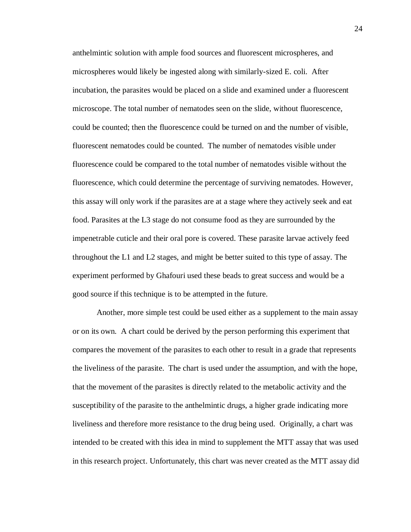anthelmintic solution with ample food sources and fluorescent microspheres, and microspheres would likely be ingested along with similarly-sized E. coli. After incubation, the parasites would be placed on a slide and examined under a fluorescent microscope. The total number of nematodes seen on the slide, without fluorescence, could be counted; then the fluorescence could be turned on and the number of visible, fluorescent nematodes could be counted. The number of nematodes visible under fluorescence could be compared to the total number of nematodes visible without the fluorescence, which could determine the percentage of surviving nematodes. However, this assay will only work if the parasites are at a stage where they actively seek and eat food. Parasites at the L3 stage do not consume food as they are surrounded by the impenetrable cuticle and their oral pore is covered. These parasite larvae actively feed throughout the L1 and L2 stages, and might be better suited to this type of assay. The experiment performed by Ghafouri used these beads to great success and would be a good source if this technique is to be attempted in the future.

Another, more simple test could be used either as a supplement to the main assay or on its own. A chart could be derived by the person performing this experiment that compares the movement of the parasites to each other to result in a grade that represents the liveliness of the parasite. The chart is used under the assumption, and with the hope, that the movement of the parasites is directly related to the metabolic activity and the susceptibility of the parasite to the anthelmintic drugs, a higher grade indicating more liveliness and therefore more resistance to the drug being used. Originally, a chart was intended to be created with this idea in mind to supplement the MTT assay that was used in this research project. Unfortunately, this chart was never created as the MTT assay did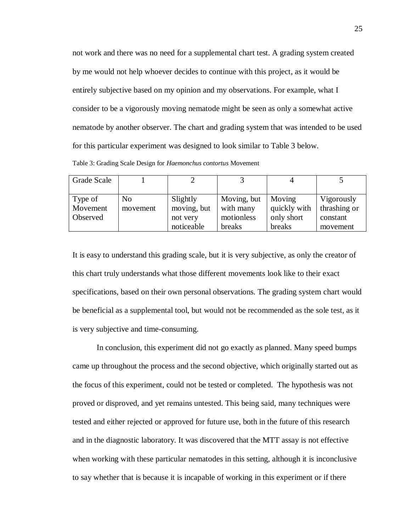not work and there was no need for a supplemental chart test. A grading system created by me would not help whoever decides to continue with this project, as it would be entirely subjective based on my opinion and my observations. For example, what I consider to be a vigorously moving nematode might be seen as only a somewhat active nematode by another observer. The chart and grading system that was intended to be used for this particular experiment was designed to look similar to Table 3 below.

Table 3: Grading Scale Design for *Haemonchus contortus* Movement

| Grade Scale |                |             |             | 4            |              |
|-------------|----------------|-------------|-------------|--------------|--------------|
|             |                |             |             |              |              |
| Type of     | N <sub>0</sub> | Slightly    | Moving, but | Moving       | Vigorously   |
| Movement    | movement       | moving, but | with many   | quickly with | thrashing or |
| Observed    |                | not very    | motionless  | only short   | constant     |
|             |                | noticeable  | breaks      | breaks       | movement     |

It is easy to understand this grading scale, but it is very subjective, as only the creator of this chart truly understands what those different movements look like to their exact specifications, based on their own personal observations. The grading system chart would be beneficial as a supplemental tool, but would not be recommended as the sole test, as it is very subjective and time-consuming.

In conclusion, this experiment did not go exactly as planned. Many speed bumps came up throughout the process and the second objective, which originally started out as the focus of this experiment, could not be tested or completed. The hypothesis was not proved or disproved, and yet remains untested. This being said, many techniques were tested and either rejected or approved for future use, both in the future of this research and in the diagnostic laboratory. It was discovered that the MTT assay is not effective when working with these particular nematodes in this setting, although it is inconclusive to say whether that is because it is incapable of working in this experiment or if there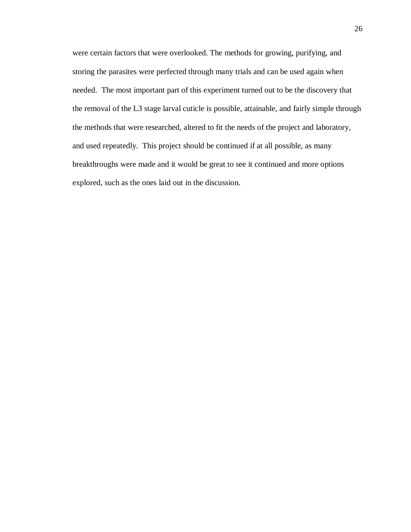were certain factors that were overlooked. The methods for growing, purifying, and storing the parasites were perfected through many trials and can be used again when needed. The most important part of this experiment turned out to be the discovery that the removal of the L3 stage larval cuticle is possible, attainable, and fairly simple through the methods that were researched, altered to fit the needs of the project and laboratory, and used repeatedly. This project should be continued if at all possible, as many breakthroughs were made and it would be great to see it continued and more options explored, such as the ones laid out in the discussion.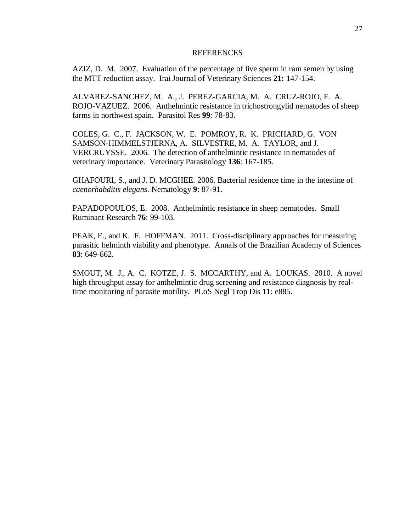#### REFERENCES

AZIZ, D. M. 2007. Evaluation of the percentage of live sperm in ram semen by using the MTT reduction assay. Irai Journal of Veterinary Sciences **21:** 147-154.

ALVAREZ-SANCHEZ, M. A., J. PEREZ-GARCIA, M. A. CRUZ-ROJO, F. A. ROJO-VAZUEZ. 2006. Anthelmintic resistance in trichostrongylid nematodes of sheep farms in northwest spain. Parasitol Res **99**: 78-83.

COLES, G. C., F. JACKSON, W. E. POMROY, R. K. PRICHARD, G. VON SAMSON-HIMMELSTJERNA, A. SILVESTRE, M. A. TAYLOR, and J. VERCRUYSSE. 2006. The detection of anthelmintic resistance in nematodes of veterinary importance. Veterinary Parasitology **136**: 167-185.

GHAFOURI, S., and J. D. MCGHEE. 2006. Bacterial residence time in the intestine of *caenorhabditis elegans*. Nematology **9**: 87-91.

PAPADOPOULOS, E. 2008. Anthelmintic resistance in sheep nematodes. Small Ruminant Research **76**: 99-103.

PEAK, E., and K. F. HOFFMAN. 2011. Cross-disciplinary approaches for measuring parasitic helminth viability and phenotype. Annals of the Brazilian Academy of Sciences **83**: 649-662.

SMOUT, M. J., A. C. KOTZE, J. S. MCCARTHY, and A. LOUKAS. 2010. A novel high throughput assay for anthelmintic drug screening and resistance diagnosis by realtime monitoring of parasite motility. PLoS Negl Trop Dis **11**: e885.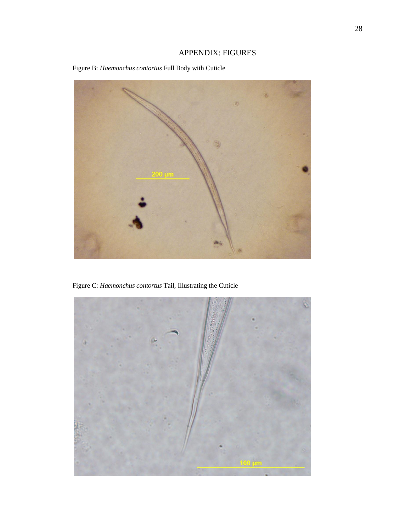# APPENDIX: FIGURES





Figure C: *Haemonchus contortus* Tail, Illustrating the Cuticle

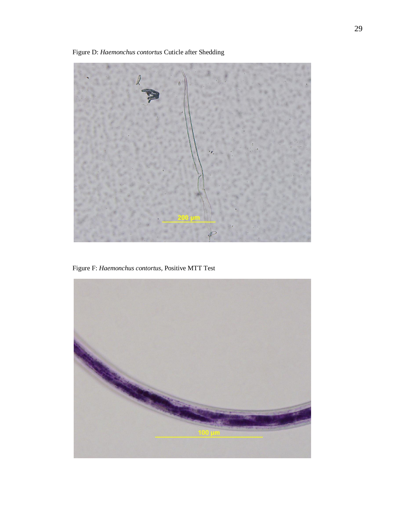Figure D: *Haemonchus contortus* Cuticle after Shedding



Figure F: *Haemonchus contortus*, Positive MTT Test